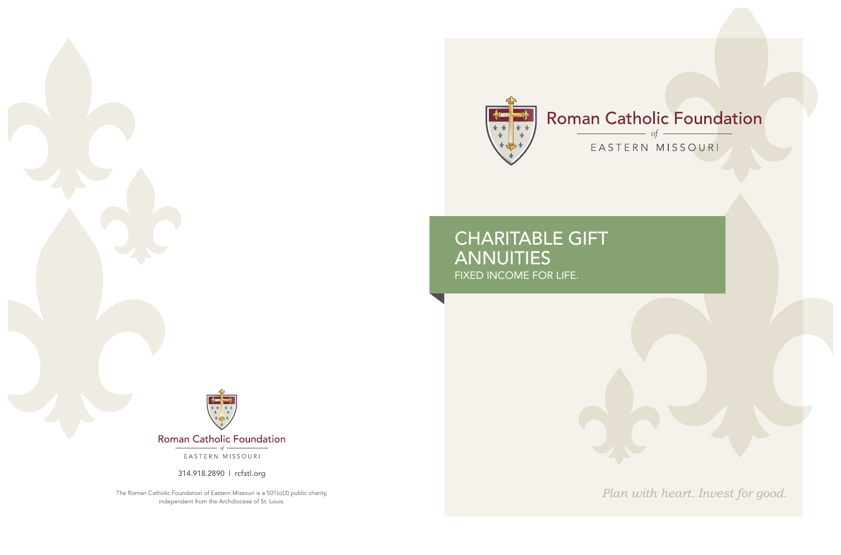*Plan with heart. Invest for good.*



## CHARITABLE GIFT **ANNUITIES** FIXED INCOME FOR LIFE.



Roman Catholic Foundation

EASTERN MISSOURI

314.918.2890 | rcfstl.org

The Roman Catholic Foundation of Eastern Missouri is a 501(c)(3) public charity, independent from the Archdiocese of St. Louis.

#### Roman Catholic Foundation  $\frac{\ }{\ }$  of  $-$

### EASTERN MISSOURI